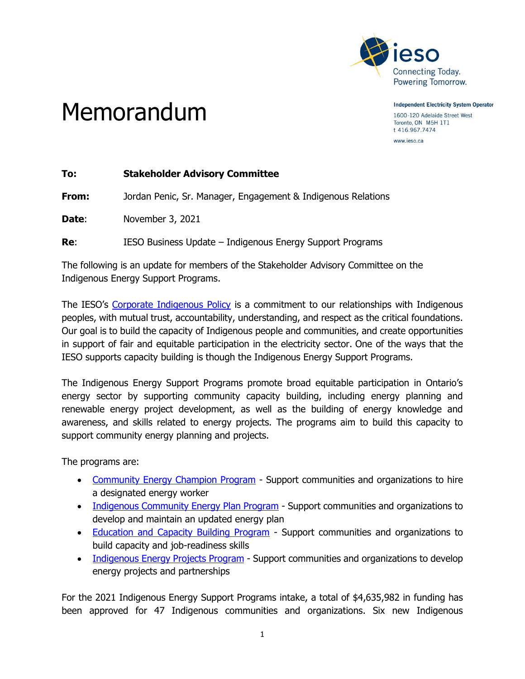

Memorandum

**Independent Electricity System Operator** 1600-120 Adelaide Street West Toronto, ON M5H 1T1 t 416.967.7474

www.ieso.ca

| <b>Stakeholder Advisory Committee</b>                        |
|--------------------------------------------------------------|
| Jordan Penic, Sr. Manager, Engagement & Indigenous Relations |
| November 3, 2021                                             |
| IESO Business Update – Indigenous Energy Support Programs    |
|                                                              |

The following is an update for members of the Stakeholder Advisory Committee on the Indigenous Energy Support Programs.

The IESO's [Corporate Indigenous Policy](https://www.ieso.ca/en/Get-Involved/Indigenous-Relations/Corporate-Indigenous-Policy) is a commitment to our relationships with Indigenous peoples, with mutual trust, accountability, understanding, and respect as the critical foundations. Our goal is to build the capacity of Indigenous people and communities, and create opportunities in support of fair and equitable participation in the electricity sector. One of the ways that the IESO supports capacity building is though the Indigenous Energy Support Programs.

The Indigenous Energy Support Programs promote broad equitable participation in Ontario's energy sector by supporting community capacity building, including energy planning and renewable energy project development, as well as the building of energy knowledge and awareness, and skills related to energy projects. The programs aim to build this capacity to support community energy planning and projects.

The programs are:

- [Community Energy Champion Program](https://www.ieso.ca/en/Get-Involved/Funding-Programs/Community-Energy-Champion-Program) Support communities and organizations to hire a designated energy worker
- [Indigenous Community Energy Plan Program](https://www.ieso.ca/en/Get-Involved/Funding-Programs/Indigenous-Community-Energy-Plan-Program) Support communities and organizations to develop and maintain an updated energy plan
- [Education and Capacity Building Program](https://www.ieso.ca/en/Get-Involved/Funding-Programs/Education-and-Capacity-Building-Program) Support communities and organizations to build capacity and job-readiness skills
- [Indigenous Energy Projects Program](https://www.ieso.ca/en/Get-Involved/Funding-Programs/Indigenous-Energy-Projects-Program) Support communities and organizations to develop energy projects and partnerships

For the 2021 Indigenous Energy Support Programs intake, a total of \$4,635,982 in funding has been approved for 47 Indigenous communities and organizations. Six new Indigenous